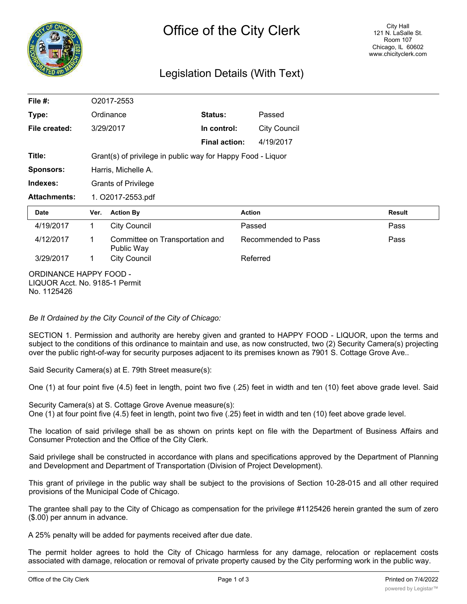

# Legislation Details (With Text)

| File #:                       | O2017-2553                                                  |                                               |                      |                     |                     |        |  |
|-------------------------------|-------------------------------------------------------------|-----------------------------------------------|----------------------|---------------------|---------------------|--------|--|
| Type:                         | Ordinance                                                   |                                               | Status:              | Passed              |                     |        |  |
| File created:                 | 3/29/2017                                                   |                                               | In control:          |                     | <b>City Council</b> |        |  |
|                               |                                                             |                                               | <b>Final action:</b> | 4/19/2017           |                     |        |  |
| Title:                        | Grant(s) of privilege in public way for Happy Food - Liquor |                                               |                      |                     |                     |        |  |
| <b>Sponsors:</b>              | Harris, Michelle A.                                         |                                               |                      |                     |                     |        |  |
| Indexes:                      | <b>Grants of Privilege</b>                                  |                                               |                      |                     |                     |        |  |
| <b>Attachments:</b>           | 1. O2017-2553.pdf                                           |                                               |                      |                     |                     |        |  |
| <b>Date</b>                   | Ver.                                                        | <b>Action By</b>                              |                      | <b>Action</b>       |                     | Result |  |
| 4/19/2017                     | $\mathbf{1}$                                                | <b>City Council</b>                           |                      | Passed              |                     | Pass   |  |
| 4/12/2017                     | 1                                                           | Committee on Transportation and<br>Public Way |                      | Recommended to Pass |                     | Pass   |  |
| 3/29/2017                     | 1                                                           | <b>City Council</b>                           |                      | Referred            |                     |        |  |
| <b>ORDINANCE HAPPY FOOD -</b> |                                                             |                                               |                      |                     |                     |        |  |

LIQUOR Acct. No. 9185-1 Permit No. 1125426

*Be It Ordained by the City Council of the City of Chicago:*

SECTION 1. Permission and authority are hereby given and granted to HAPPY FOOD - LIQUOR, upon the terms and subject to the conditions of this ordinance to maintain and use, as now constructed, two (2) Security Camera(s) projecting over the public right-of-way for security purposes adjacent to its premises known as 7901 S. Cottage Grove Ave..

Said Security Camera(s) at E. 79th Street measure(s):

One (1) at four point five (4.5) feet in length, point two five (.25) feet in width and ten (10) feet above grade level. Said

Security Camera(s) at S. Cottage Grove Avenue measure(s): One (1) at four point five (4.5) feet in length, point two five (.25) feet in width and ten (10) feet above grade level.

The location of said privilege shall be as shown on prints kept on file with the Department of Business Affairs and Consumer Protection and the Office of the City Clerk.

Said privilege shall be constructed in accordance with plans and specifications approved by the Department of Planning and Development and Department of Transportation (Division of Project Development).

This grant of privilege in the public way shall be subject to the provisions of Section 10-28-015 and all other required provisions of the Municipal Code of Chicago.

The grantee shall pay to the City of Chicago as compensation for the privilege #1125426 herein granted the sum of zero (\$.00) per annum in advance.

A 25% penalty will be added for payments received after due date.

The permit holder agrees to hold the City of Chicago harmless for any damage, relocation or replacement costs associated with damage, relocation or removal of private property caused by the City performing work in the public way.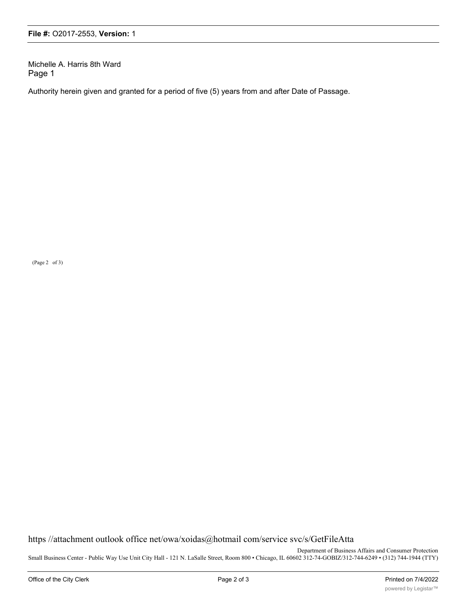Michelle A. Harris 8th Ward Page 1

Authority herein given and granted for a period of five (5) years from and after Date of Passage.

(Page 2 of 3)

https //attachment outlook office net/owa/xoidas@hotmail com/service svc/s/GetFileAtta

Department of Business Affairs and Consumer Protection Small Business Center - Public Way Use Unit City Hall - 121 N. LaSalle Street, Room 800 • Chicago, IL 60602 312-74-GOBIZ/312-744-6249 • (312) 744-1944 (TTY)